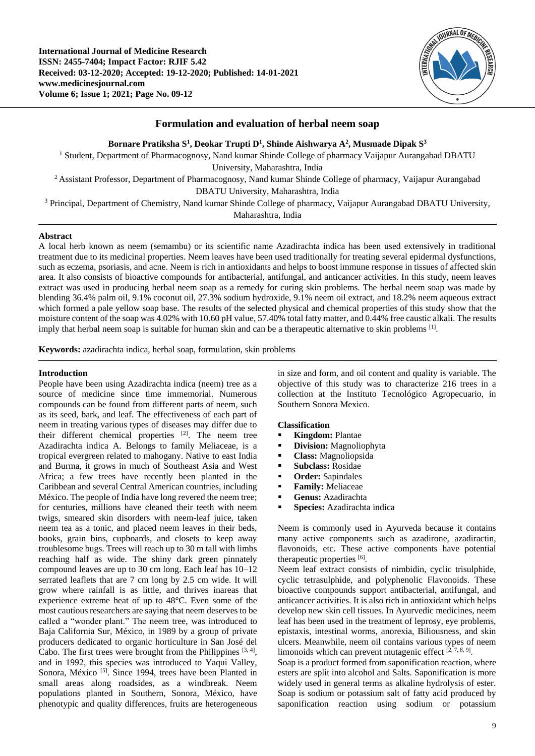

# **Formulation and evaluation of herbal neem soap**

**Bornare Pratiksha S<sup>1</sup> , Deokar Trupti D<sup>1</sup> , Shinde Aishwarya A<sup>2</sup> , Musmade Dipak S<sup>3</sup>**

<sup>1</sup> Student, Department of Pharmacognosy, Nand kumar Shinde College of pharmacy Vaijapur Aurangabad DBATU University, Maharashtra, India <sup>2</sup> Assistant Professor, Department of Pharmacognosy, Nand kumar Shinde College of pharmacy, Vaijapur Aurangabad DBATU University, Maharashtra, India <sup>3</sup> Principal, Department of Chemistry, Nand kumar Shinde College of pharmacy, Vaijapur Aurangabad DBATU University,

Maharashtra, India

## **Abstract**

A local herb known as neem (semambu) or its scientific name Azadirachta indica has been used extensively in traditional treatment due to its medicinal properties. Neem leaves have been used traditionally for treating several epidermal dysfunctions, such as eczema, psoriasis, and acne. Neem is rich in antioxidants and helps to boost immune response in tissues of affected skin area. It also consists of bioactive compounds for antibacterial, antifungal, and anticancer activities. In this study, neem leaves extract was used in producing herbal neem soap as a remedy for curing skin problems. The herbal neem soap was made by blending 36.4% palm oil, 9.1% coconut oil, 27.3% sodium hydroxide, 9.1% neem oil extract, and 18.2% neem aqueous extract which formed a pale yellow soap base. The results of the selected physical and chemical properties of this study show that the moisture content of the soap was 4.02% with 10.60 pH value, 57.40% total fatty matter, and 0.44% free caustic alkali. The results imply that herbal neem soap is suitable for human skin and can be a therapeutic alternative to skin problems [1].

**Keywords:** azadirachta indica, herbal soap, formulation, skin problems

## **Introduction**

People have been using Azadirachta indica (neem) tree as a source of medicine since time immemorial. Numerous compounds can be found from different parts of neem, such as its seed, bark, and leaf. The effectiveness of each part of neem in treating various types of diseases may differ due to their different chemical properties [2]. The neem tree Azadirachta indica A. Belongs to family Meliaceae, is a tropical evergreen related to mahogany. Native to east India and Burma, it grows in much of Southeast Asia and West Africa; a few trees have recently been planted in the Caribbean and several Central American countries, including México. The people of India have long revered the neem tree; for centuries, millions have cleaned their teeth with neem twigs, smeared skin disorders with neem-leaf juice, taken neem tea as a tonic, and placed neem leaves in their beds, books, grain bins, cupboards, and closets to keep away troublesome bugs. Trees will reach up to 30 m tall with limbs reaching half as wide. The shiny dark green pinnately compound leaves are up to 30 cm long. Each leaf has 10–12 serrated leaflets that are 7 cm long by 2.5 cm wide. It will grow where rainfall is as little, and thrives inareas that experience extreme heat of up to 48°C. Even some of the most cautious researchers are saying that neem deserves to be called a "wonder plant." The neem tree, was introduced to Baja California Sur, México, in 1989 by a group of private producers dedicated to organic horticulture in San José del Cabo. The first trees were brought from the Philippines  $[3, 4]$ , and in 1992, this species was introduced to Yaqui Valley, Sonora, México<sup>[5]</sup>. Since 1994, trees have been Planted in small areas along roadsides, as a windbreak. Neem populations planted in Southern, Sonora, México, have phenotypic and quality differences, fruits are heterogeneous

in size and form, and oil content and quality is variable. The objective of this study was to characterize 216 trees in a collection at the Instituto Tecnológico Agropecuario, in Southern Sonora Mexico.

## **Classification**

- **Kingdom:** Plantae
- **• Division:** Magnoliophyta
- **Class:** Magnoliopsida
- **Subclass:** Rosidae
- **Order:** Sapindales
- **Family:** Meliaceae
- **Genus:** Azadirachta
- **Species:** Azadirachta indica

Neem is commonly used in Ayurveda because it contains many active components such as azadirone, azadiractin, flavonoids, etc. These active components have potential therapeutic properties [6].

Neem leaf extract consists of nimbidin, cyclic trisulphide, cyclic tetrasulphide, and polyphenolic Flavonoids. These bioactive compounds support antibacterial, antifungal, and anticancer activities. It is also rich in antioxidant which helps develop new skin cell tissues. In Ayurvedic medicines, neem leaf has been used in the treatment of leprosy, eye problems, epistaxis, intestinal worms, anorexia, Biliousness, and skin ulcers. Meanwhile, neem oil contains various types of neem limonoids which can prevent mutagenic effect  $[2, 7, 8, 9]$ .

Soap is a product formed from saponification reaction, where esters are split into alcohol and Salts. Saponification is more widely used in general terms as alkaline hydrolysis of ester. Soap is sodium or potassium salt of fatty acid produced by saponification reaction using sodium or potassium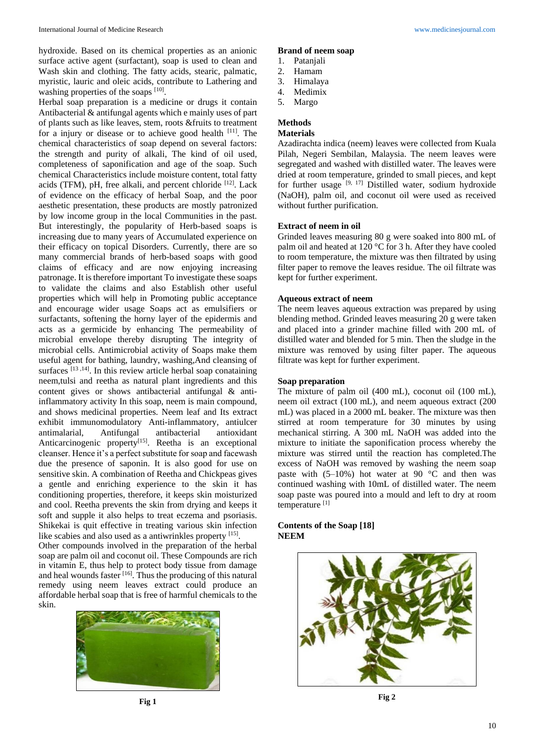hydroxide. Based on its chemical properties as an anionic surface active agent (surfactant), soap is used to clean and Wash skin and clothing. The fatty acids, stearic, palmatic, myristic, lauric and oleic acids, contribute to Lathering and washing properties of the soaps [10].

Herbal soap preparation is a medicine or drugs it contain Antibacterial & antifungal agents which e mainly uses of part of plants such as like leaves, stem, roots &fruits to treatment for a injury or disease or to achieve good health [11]. The chemical characteristics of soap depend on several factors: the strength and purity of alkali, The kind of oil used, completeness of saponification and age of the soap. Such chemical Characteristics include moisture content, total fatty acids (TFM), pH, free alkali, and percent chloride [12]. Lack of evidence on the efficacy of herbal Soap, and the poor aesthetic presentation, these products are mostly patronized by low income group in the local Communities in the past. But interestingly, the popularity of Herb-based soaps is increasing due to many years of Accumulated experience on their efficacy on topical Disorders. Currently, there are so many commercial brands of herb-based soaps with good claims of efficacy and are now enjoying increasing patronage. It is therefore important To investigate these soaps to validate the claims and also Establish other useful properties which will help in Promoting public acceptance and encourage wider usage Soaps act as emulsifiers or surfactants, softening the horny layer of the epidermis and acts as a germicide by enhancing The permeability of microbial envelope thereby disrupting The integrity of microbial cells. Antimicrobial activity of Soaps make them useful agent for bathing, laundry, washing,And cleansing of surfaces<sup>[13,14]</sup>. In this review article herbal soap conataining neem,tulsi and reetha as natural plant ingredients and this content gives or shows antibacterial antifungal & antiinflammatory activity In this soap, neem is main compound, and shows medicinal properties. Neem leaf and Its extract exhibit immunomodulatory Anti-inflammatory, antiulcer antimalarial, Antifungal antibacterial antioxidant Anticarcinogenic property<sup>[15]</sup>. Reetha is an exceptional cleanser. Hence it's a perfect substitute for soap and facewash due the presence of saponin. It is also good for use on sensitive skin. A combination of Reetha and Chickpeas gives a gentle and enriching experience to the skin it has conditioning properties, therefore, it keeps skin moisturized and cool. Reetha prevents the skin from drying and keeps it soft and supple it also helps to treat eczema and psoriasis. Shikekai is quit effective in treating various skin infection like scabies and also used as a antiwrinkles property [15].

Other compounds involved in the preparation of the herbal soap are palm oil and coconut oil. These Compounds are rich in vitamin E, thus help to protect body tissue from damage and heal wounds faster [16]. Thus the producing of this natural remedy using neem leaves extract could produce an affordable herbal soap that is free of harmful chemicals to the skin.



## **Brand of neem soap**

- 1. Patanjali
- 2. Hamam
- 3. Himalaya
- 4. Medimix
- 5. Margo

# **Methods**

# **Materials**

Azadirachta indica (neem) leaves were collected from Kuala Pilah, Negeri Sembilan, Malaysia. The neem leaves were segregated and washed with distilled water. The leaves were dried at room temperature, grinded to small pieces, and kept for further usage  $[9, 17]$  Distilled water, sodium hydroxide (NaOH), palm oil, and coconut oil were used as received without further purification.

#### **Extract of neem in oil**

Grinded leaves measuring 80 g were soaked into 800 mL of palm oil and heated at 120 °C for 3 h. After they have cooled to room temperature, the mixture was then filtrated by using filter paper to remove the leaves residue. The oil filtrate was kept for further experiment.

#### **Aqueous extract of neem**

The neem leaves aqueous extraction was prepared by using blending method. Grinded leaves measuring 20 g were taken and placed into a grinder machine filled with 200 mL of distilled water and blended for 5 min. Then the sludge in the mixture was removed by using filter paper. The aqueous filtrate was kept for further experiment.

### **Soap preparation**

The mixture of palm oil (400 mL), coconut oil (100 mL), neem oil extract (100 mL), and neem aqueous extract (200 mL) was placed in a 2000 mL beaker. The mixture was then stirred at room temperature for 30 minutes by using mechanical stirring. A 300 mL NaOH was added into the mixture to initiate the saponification process whereby the mixture was stirred until the reaction has completed.The excess of NaOH was removed by washing the neem soap paste with  $(5-10\%)$  hot water at 90 °C and then was continued washing with 10mL of distilled water. The neem soap paste was poured into a mould and left to dry at room temperature [1]

# **Contents of the Soap [18] NEEM**



**Fig 2**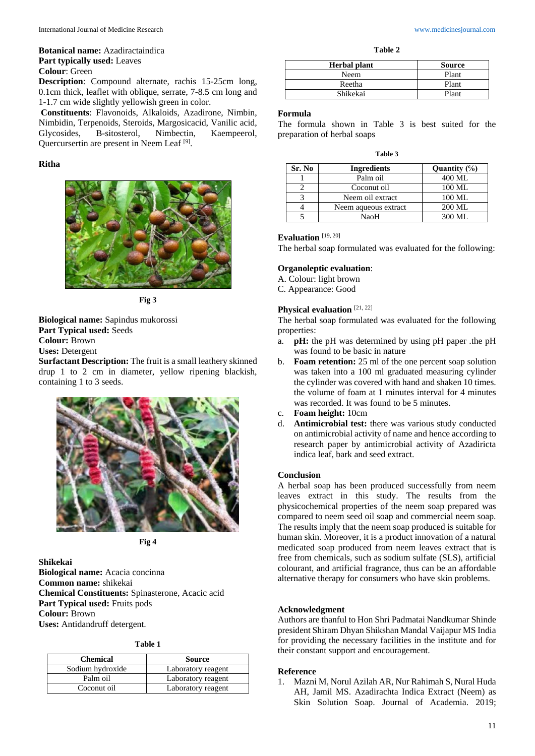# **Botanical name:** Azadiractaindica **Part typically used:** Leaves **Colour**: Green

**Description**: Compound alternate, rachis 15-25cm long, 0.1cm thick, leaflet with oblique, serrate, 7-8.5 cm long and 1-1.7 cm wide slightly yellowish green in color.

**Constituents**: Flavonoids, Alkaloids, Azadirone, Nimbin, Nimbidin, Terpenoids, Steroids, Margosicacid, Vanilic acid, Glycosides, B-sitosterol, Nimbectin, Kaempeerol, Quercursertin are present in Neem Leaf<sup>[9]</sup>.

# **Ritha**



**Fig 3**

**Biological name:** Sapindus mukorossi **Part Typical used:** Seeds **Colour:** Brown **Uses:** Detergent

**Surfactant Description:** The fruit is a small leathery skinned drup 1 to 2 cm in diameter, yellow ripening blackish, containing 1 to 3 seeds.



**Fig 4**

**Shikekai Biological name:** Acacia concinna **Common name:** shikekai **Chemical Constituents:** Spinasterone, Acacic acid Part Typical used: Fruits pods **Colour:** Brown **Uses:** Antidandruff detergent.

|  | anı |  |
|--|-----|--|
|--|-----|--|

| <b>Chemical</b>  | <b>Source</b>      |
|------------------|--------------------|
| Sodium hydroxide | Laboratory reagent |
| Palm oil         | Laboratory reagent |
| Coconut oil      | Laboratory reagent |

**Table 2**

| <b>Herbal</b> plant | <b>Source</b> |
|---------------------|---------------|
| Neem                | Plant         |
| Reetha              | Plant         |
| Shikekai            | Plant         |

# **Formula**

The formula shown in Table 3 is best suited for the preparation of herbal soaps

| Sr. No | <b>Ingredients</b>   | Quantity $(\%)$    |
|--------|----------------------|--------------------|
|        | Palm oil             | 400 ML             |
|        | Coconut oil          | 100 ML             |
|        | Neem oil extract     | 100 ML             |
|        | Neem aqueous extract | 200 ML             |
|        | NaoH                 | $300 \text{ MI}$ . |

#### **Evaluation** [19, 20]

The herbal soap formulated was evaluated for the following:

## **Organoleptic evaluation**:

- A. Colour: light brown
- C. Appearance: Good

# Physical evaluation<sup>[21, 22]</sup>

The herbal soap formulated was evaluated for the following properties:

- a. **pH:** the pH was determined by using pH paper .the pH was found to be basic in nature
- b. **Foam retention:** 25 ml of the one percent soap solution was taken into a 100 ml graduated measuring cylinder the cylinder was covered with hand and shaken 10 times. the volume of foam at 1 minutes interval for 4 minutes was recorded. It was found to be 5 minutes.
- c. **Foam height:** 10cm
- d. **Antimicrobial test:** there was various study conducted on antimicrobial activity of name and hence according to research paper by antimicrobial activity of Azadiricta indica leaf, bark and seed extract.

## **Conclusion**

A herbal soap has been produced successfully from neem leaves extract in this study. The results from the physicochemical properties of the neem soap prepared was compared to neem seed oil soap and commercial neem soap. The results imply that the neem soap produced is suitable for human skin. Moreover, it is a product innovation of a natural medicated soap produced from neem leaves extract that is free from chemicals, such as sodium sulfate (SLS), artificial colourant, and artificial fragrance, thus can be an affordable alternative therapy for consumers who have skin problems.

#### **Acknowledgment**

Authors are thanful to Hon Shri Padmatai Nandkumar Shinde president Shiram Dhyan Shikshan Mandal Vaijapur MS India for providing the necessary facilities in the institute and for their constant support and encouragement.

### **Reference**

1. Mazni M, Norul Azilah AR, Nur Rahimah S, Nural Huda AH, Jamil MS. Azadirachta Indica Extract (Neem) as Skin Solution Soap. Journal of Academia. 2019;